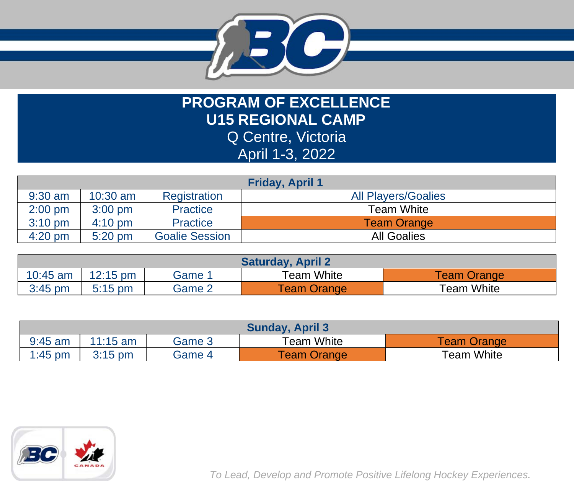

**PROGRAM OF EXCELLENCE U15 REGIONAL CAMP** Q Centre, Victoria April 1-3, 2022

| <b>Friday, April 1</b> |                   |                       |                            |  |  |
|------------------------|-------------------|-----------------------|----------------------------|--|--|
| $9:30$ am              | $10:30$ am        | Registration          | <b>All Players/Goalies</b> |  |  |
| $2:00$ pm              | $3:00$ pm         | <b>Practice</b>       | Team White                 |  |  |
| $3:10$ pm              | $4:10 \text{ pm}$ | Practice              | <b>Team Orange</b>         |  |  |
| $4:20$ pm              | $5:20$ pm         | <b>Goalie Session</b> | <b>All Goalies</b>         |  |  |

| <b>Saturday, April 2</b> |                    |        |                    |                    |  |
|--------------------------|--------------------|--------|--------------------|--------------------|--|
| $10:45$ am               | $12:15 \text{ pm}$ | Game   | Team White         | <b>Team Orange</b> |  |
| $3:45$ pm                | $5:15$ pm          | Game 2 | <b>Team Orange</b> | Team White         |  |

| <b>Sunday, April 3</b> |            |        |                  |            |  |
|------------------------|------------|--------|------------------|------------|--|
| $9:45$ am              | $11:15$ am | Game 3 | $\tau$ eam White | eam Orange |  |
| $1:45$ pm              | $3:15$ pm  | Game 4 | Feam Orange      | Team White |  |



*To Lead, Develop and Promote Positive Lifelong Hockey Experiences.*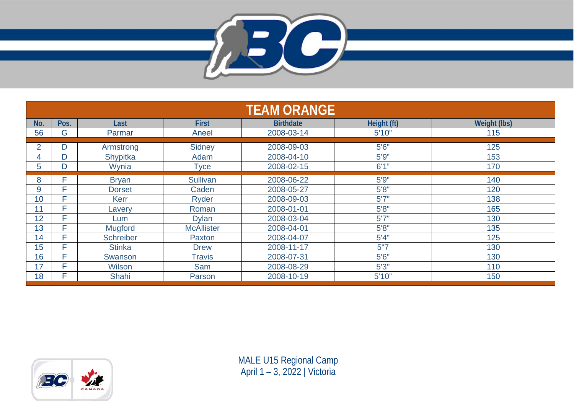

| <b>TEAM ORANGE</b> |      |                  |                   |                  |             |                     |
|--------------------|------|------------------|-------------------|------------------|-------------|---------------------|
| No.                | Pos. | Last             | <b>First</b>      | <b>Birthdate</b> | Height (ft) | <b>Weight (lbs)</b> |
| 56                 | G    | Parmar           | Aneel             | 2008-03-14       | 5'10''      | 115                 |
| $\overline{2}$     | D    | Armstrong        | <b>Sidney</b>     | 2008-09-03       | 5'6''       | 125                 |
| 4                  | D    | Shypitka         | Adam              | 2008-04-10       | 5'9''       | 153                 |
| 5                  | D    | Wynia            | <b>Tyce</b>       | 2008-02-15       | 6'1''       | 170                 |
| 8                  | F    | <b>Bryan</b>     | Sullivan          | 2008-06-22       | 5'9''       | 140                 |
| 9                  | Е    | <b>Dorset</b>    | Caden             | 2008-05-27       | 5'8''       | 120                 |
| 10                 | Е    | <b>Kerr</b>      | Ryder             | 2008-09-03       | 5'7''       | 138                 |
| 11                 | F    | Lavery           | Roman             | 2008-01-01       | 5'8''       | 165                 |
| 12                 | F    | Lum              | <b>Dylan</b>      | 2008-03-04       | 5'7''       | 130                 |
| 13                 | Е    | <b>Mugford</b>   | <b>McAllister</b> | 2008-04-01       | 5'8''       | 135                 |
| 14                 | Е    | <b>Schreiber</b> | Paxton            | 2008-04-07       | 5'4''       | 125                 |
| 15                 | F    | <b>Stinka</b>    | <b>Drew</b>       | 2008-11-17       | 5"7         | 130                 |
| 16                 | Е    | Swanson          | <b>Travis</b>     | 2008-07-31       | 5'6''       | 130                 |
| 17                 | Е    | Wilson           | Sam               | 2008-08-29       | 5'3''       | 110                 |
| 18                 | F    | <b>Shahi</b>     | Parson            | 2008-10-19       | 5'10''      | 150                 |



MALE U15 Regional Camp April 1 – 3, 2022 | Victoria